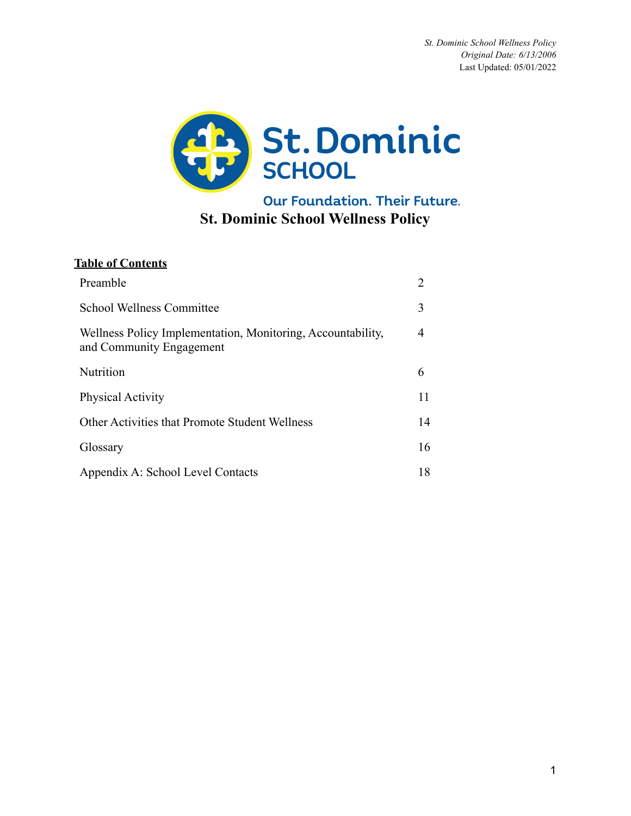

Our Foundation. Their Future. **St. Dominic School Wellness Policy**

## **Table of Contents**

| Preamble                                                                                | 2  |
|-----------------------------------------------------------------------------------------|----|
| <b>School Wellness Committee</b>                                                        | 3  |
| Wellness Policy Implementation, Monitoring, Accountability,<br>and Community Engagement | 4  |
| Nutrition                                                                               | 6  |
| <b>Physical Activity</b>                                                                | 11 |
| Other Activities that Promote Student Wellness                                          | 14 |
| Glossary                                                                                | 16 |
| Appendix A: School Level Contacts                                                       | 18 |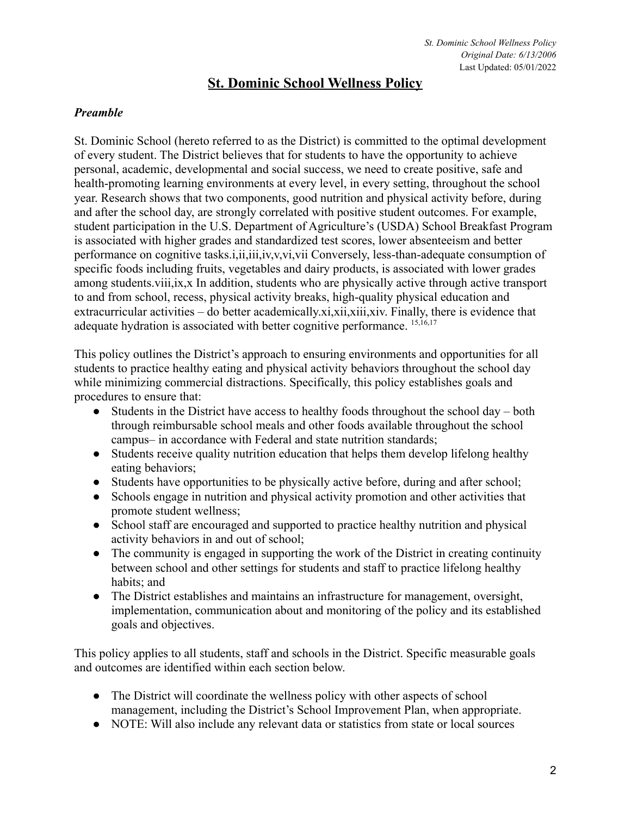## **St. Dominic School Wellness Policy**

## *Preamble*

St. Dominic School (hereto referred to as the District) is committed to the optimal development of every student. The District believes that for students to have the opportunity to achieve personal, academic, developmental and social success, we need to create positive, safe and health-promoting learning environments at every level, in every setting, throughout the school year. Research shows that two components, good nutrition and physical activity before, during and after the school day, are strongly correlated with positive student outcomes. For example, student participation in the U.S. Department of Agriculture's (USDA) School Breakfast Program is associated with higher grades and standardized test scores, lower absenteeism and better performance on cognitive tasks.i,ii,iii,iv,v,vi,vii Conversely, less-than-adequate consumption of specific foods including fruits, vegetables and dairy products, is associated with lower grades among students.viii,ix,x In addition, students who are physically active through active transport to and from school, recess, physical activity breaks, high-quality physical education and extracurricular activities – do better academically.xi,xii,xiii,xiv. Finally, there is evidence that adequate hydration is associated with better cognitive performance. <sup>15,16,17</sup>

This policy outlines the District's approach to ensuring environments and opportunities for all students to practice healthy eating and physical activity behaviors throughout the school day while minimizing commercial distractions. Specifically, this policy establishes goals and procedures to ensure that:

- Students in the District have access to healthy foods throughout the school day both through reimbursable school meals and other foods available throughout the school campus— in accordance with Federal and state nutrition standards;
- Students receive quality nutrition education that helps them develop lifelong healthy eating behaviors;
- Students have opportunities to be physically active before, during and after school;
- Schools engage in nutrition and physical activity promotion and other activities that promote student wellness;
- School staff are encouraged and supported to practice healthy nutrition and physical activity behaviors in and out of school;
- The community is engaged in supporting the work of the District in creating continuity between school and other settings for students and staff to practice lifelong healthy habits; and
- The District establishes and maintains an infrastructure for management, oversight, implementation, communication about and monitoring of the policy and its established goals and objectives.

This policy applies to all students, staff and schools in the District. Specific measurable goals and outcomes are identified within each section below.

- The District will coordinate the wellness policy with other aspects of school management, including the District's School Improvement Plan, when appropriate.
- NOTE: Will also include any relevant data or statistics from state or local sources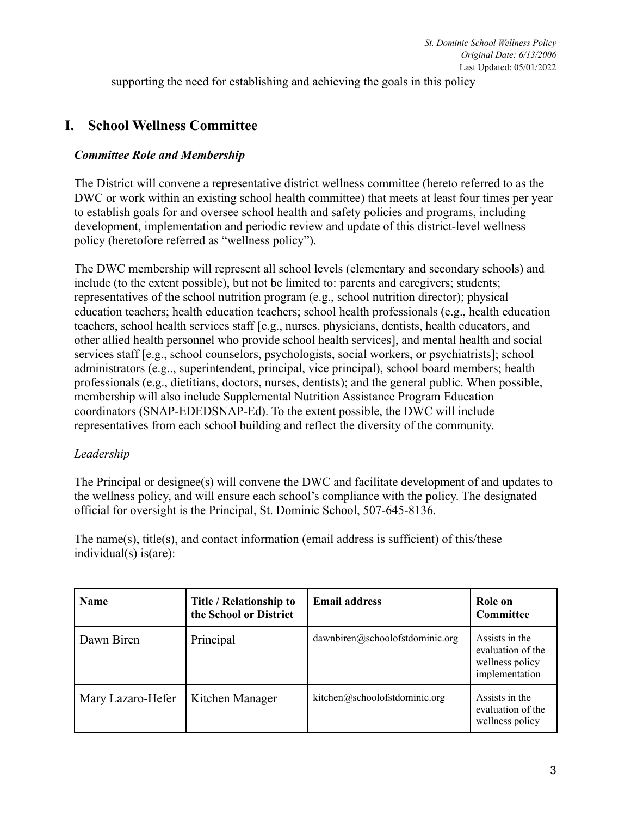supporting the need for establishing and achieving the goals in this policy

## **I. School Wellness Committee**

### *Committee Role and Membership*

The District will convene a representative district wellness committee (hereto referred to as the DWC or work within an existing school health committee) that meets at least four times per year to establish goals for and oversee school health and safety policies and programs, including development, implementation and periodic review and update of this district-level wellness policy (heretofore referred as "wellness policy").

The DWC membership will represent all school levels (elementary and secondary schools) and include (to the extent possible), but not be limited to: parents and caregivers; students; representatives of the school nutrition program (e.g., school nutrition director); physical education teachers; health education teachers; school health professionals (e.g., health education teachers, school health services staff [e.g., nurses, physicians, dentists, health educators, and other allied health personnel who provide school health services], and mental health and social services staff [e.g., school counselors, psychologists, social workers, or psychiatrists]; school administrators (e.g.., superintendent, principal, vice principal), school board members; health professionals (e.g., dietitians, doctors, nurses, dentists); and the general public. When possible, membership will also include Supplemental Nutrition Assistance Program Education coordinators (SNAP-EDEDSNAP-Ed). To the extent possible, the DWC will include representatives from each school building and reflect the diversity of the community.

#### *Leadership*

The Principal or designee(s) will convene the DWC and facilitate development of and updates to the wellness policy, and will ensure each school's compliance with the policy. The designated official for oversight is the Principal, St. Dominic School, 507-645-8136.

The name(s), title(s), and contact information (email address is sufficient) of this/these individual(s) is(are):

| <b>Name</b>       | Title / Relationship to<br>the School or District | <b>Email address</b>            | Role on<br><b>Committee</b>                                              |
|-------------------|---------------------------------------------------|---------------------------------|--------------------------------------------------------------------------|
| Dawn Biren        | Principal                                         | dawnbiren@schoolofstdominic.org | Assists in the<br>evaluation of the<br>wellness policy<br>implementation |
| Mary Lazaro-Hefer | Kitchen Manager                                   | kitchen@schoolofstdominic.org   | Assists in the<br>evaluation of the<br>wellness policy                   |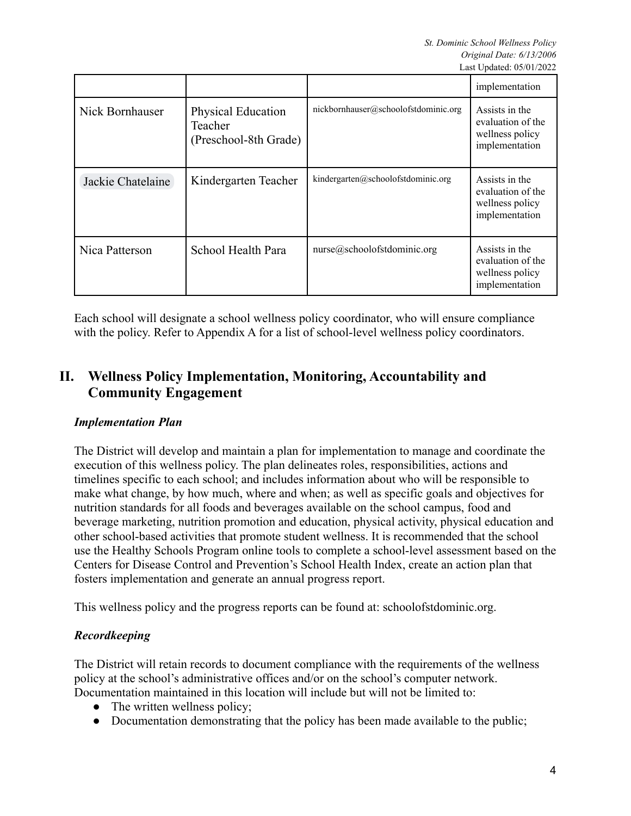|                   |                                                               |                                      | implementation                                                           |
|-------------------|---------------------------------------------------------------|--------------------------------------|--------------------------------------------------------------------------|
| Nick Bornhauser   | <b>Physical Education</b><br>Teacher<br>(Preschool-8th Grade) | nickbornhauser@schoolofstdominic.org | Assists in the<br>evaluation of the<br>wellness policy<br>implementation |
| Jackie Chatelaine | Kindergarten Teacher                                          | kindergarten@schoolofstdominic.org   | Assists in the<br>evaluation of the<br>wellness policy<br>implementation |
| Nica Patterson    | School Health Para                                            | nurse@schoolofstdominic.org          | Assists in the<br>evaluation of the<br>wellness policy<br>implementation |

Each school will designate a school wellness policy coordinator, who will ensure compliance with the policy. Refer to Appendix A for a list of school-level wellness policy coordinators.

# **II. Wellness Policy Implementation, Monitoring, Accountability and Community Engagement**

## *Implementation Plan*

The District will develop and maintain a plan for implementation to manage and coordinate the execution of this wellness policy. The plan delineates roles, responsibilities, actions and timelines specific to each school; and includes information about who will be responsible to make what change, by how much, where and when; as well as specific goals and objectives for nutrition standards for all foods and beverages available on the school campus, food and beverage marketing, nutrition promotion and education, physical activity, physical education and other school-based activities that promote student wellness. It is recommended that the school use the Healthy Schools Program online tools to complete a school-level assessment based on the Centers for Disease Control and Prevention's School Health Index, create an action plan that fosters implementation and generate an annual progress report.

This wellness policy and the progress reports can be found at: schoolofstdominic.org.

## *Recordkeeping*

The District will retain records to document compliance with the requirements of the wellness policy at the school's administrative offices and/or on the school's computer network. Documentation maintained in this location will include but will not be limited to:

- The written wellness policy:
- Documentation demonstrating that the policy has been made available to the public;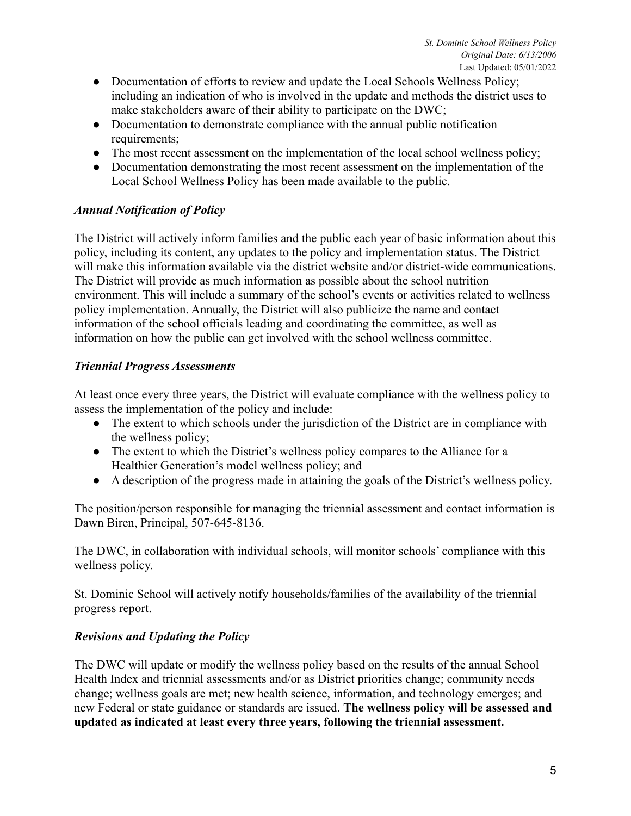- Documentation of efforts to review and update the Local Schools Wellness Policy; including an indication of who is involved in the update and methods the district uses to make stakeholders aware of their ability to participate on the DWC;
- Documentation to demonstrate compliance with the annual public notification requirements;
- The most recent assessment on the implementation of the local school wellness policy;
- Documentation demonstrating the most recent assessment on the implementation of the Local School Wellness Policy has been made available to the public.

## *Annual Notification of Policy*

The District will actively inform families and the public each year of basic information about this policy, including its content, any updates to the policy and implementation status. The District will make this information available via the district website and/or district-wide communications. The District will provide as much information as possible about the school nutrition environment. This will include a summary of the school's events or activities related to wellness policy implementation. Annually, the District will also publicize the name and contact information of the school officials leading and coordinating the committee, as well as information on how the public can get involved with the school wellness committee.

### *Triennial Progress Assessments*

At least once every three years, the District will evaluate compliance with the wellness policy to assess the implementation of the policy and include:

- The extent to which schools under the jurisdiction of the District are in compliance with the wellness policy;
- The extent to which the District's wellness policy compares to the Alliance for a Healthier Generation's model wellness policy; and
- A description of the progress made in attaining the goals of the District's wellness policy.

The position/person responsible for managing the triennial assessment and contact information is Dawn Biren, Principal, 507-645-8136.

The DWC, in collaboration with individual schools, will monitor schools' compliance with this wellness policy.

St. Dominic School will actively notify households/families of the availability of the triennial progress report.

#### *Revisions and Updating the Policy*

The DWC will update or modify the wellness policy based on the results of the annual School Health Index and triennial assessments and/or as District priorities change; community needs change; wellness goals are met; new health science, information, and technology emerges; and new Federal or state guidance or standards are issued. **The wellness policy will be assessed and updated as indicated at least every three years, following the triennial assessment.**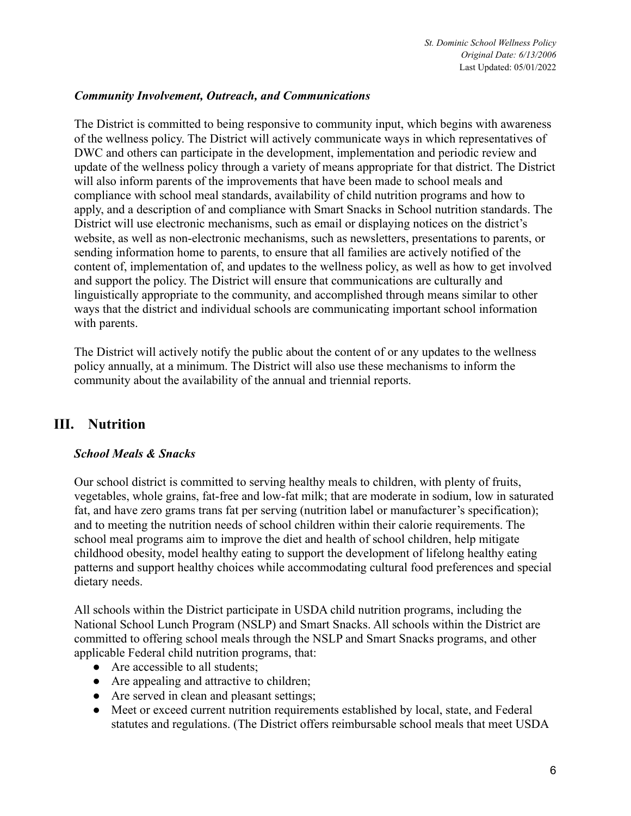### *Community Involvement, Outreach, and Communications*

The District is committed to being responsive to community input, which begins with awareness of the wellness policy. The District will actively communicate ways in which representatives of DWC and others can participate in the development, implementation and periodic review and update of the wellness policy through a variety of means appropriate for that district. The District will also inform parents of the improvements that have been made to school meals and compliance with school meal standards, availability of child nutrition programs and how to apply, and a description of and compliance with Smart Snacks in School nutrition standards. The District will use electronic mechanisms, such as email or displaying notices on the district's website, as well as non-electronic mechanisms, such as newsletters, presentations to parents, or sending information home to parents, to ensure that all families are actively notified of the content of, implementation of, and updates to the wellness policy, as well as how to get involved and support the policy. The District will ensure that communications are culturally and linguistically appropriate to the community, and accomplished through means similar to other ways that the district and individual schools are communicating important school information with parents.

The District will actively notify the public about the content of or any updates to the wellness policy annually, at a minimum. The District will also use these mechanisms to inform the community about the availability of the annual and triennial reports.

# **III. Nutrition**

#### *School Meals & Snacks*

Our school district is committed to serving healthy meals to children, with plenty of fruits, vegetables, whole grains, fat-free and low-fat milk; that are moderate in sodium, low in saturated fat, and have zero grams trans fat per serving (nutrition label or manufacturer's specification); and to meeting the nutrition needs of school children within their calorie requirements. The school meal programs aim to improve the diet and health of school children, help mitigate childhood obesity, model healthy eating to support the development of lifelong healthy eating patterns and support healthy choices while accommodating cultural food preferences and special dietary needs.

All schools within the District participate in USDA child nutrition programs, including the National School Lunch Program (NSLP) and Smart Snacks. All schools within the District are committed to offering school meals through the NSLP and Smart Snacks programs, and other applicable Federal child nutrition programs, that:

- Are accessible to all students;
- Are appealing and attractive to children;
- Are served in clean and pleasant settings;
- Meet or exceed current nutrition requirements established by local, state, and Federal statutes and regulations. (The District offers reimbursable school meals that meet USDA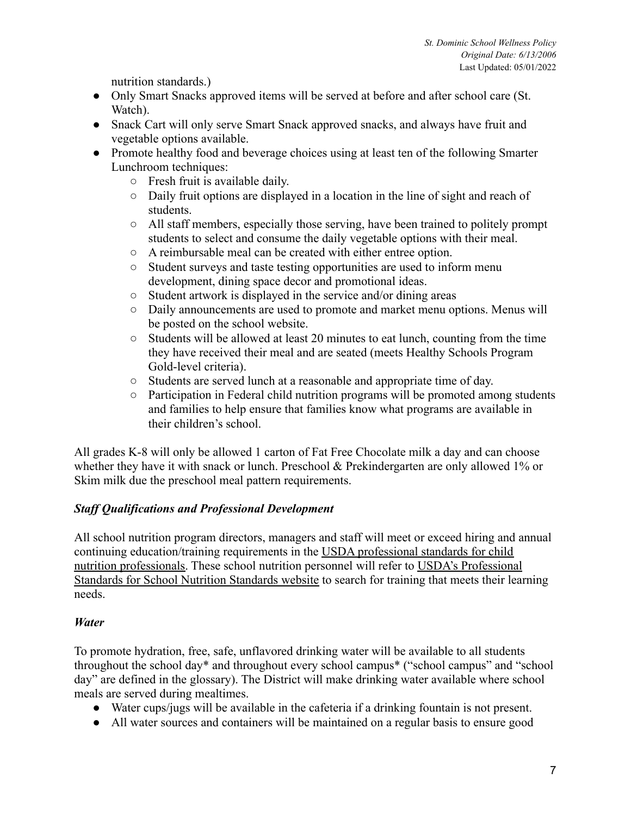nutrition standards.)

- Only Smart Snacks approved items will be served at before and after school care (St. Watch).
- Snack Cart will only serve Smart Snack approved snacks, and always have fruit and vegetable options available.
- Promote healthy food and beverage choices using at least ten of the following Smarter Lunchroom techniques:
	- Fresh fruit is available daily.
	- Daily fruit options are displayed in a location in the line of sight and reach of students.
	- All staff members, especially those serving, have been trained to politely prompt students to select and consume the daily vegetable options with their meal.
	- A reimbursable meal can be created with either entree option.
	- Student surveys and taste testing opportunities are used to inform menu development, dining space decor and promotional ideas.
	- Student artwork is displayed in the service and/or dining areas
	- Daily announcements are used to promote and market menu options. Menus will be posted on the school website.
	- Students will be allowed at least 20 minutes to eat lunch, counting from the time they have received their meal and are seated (meets Healthy Schools Program Gold-level criteria).
	- Students are served lunch at a reasonable and appropriate time of day.
	- Participation in Federal child nutrition programs will be promoted among students and families to help ensure that families know what programs are available in their children's school.

All grades K-8 will only be allowed 1 carton of Fat Free Chocolate milk a day and can choose whether they have it with snack or lunch. Preschool & Prekindergarten are only allowed 1% or Skim milk due the preschool meal pattern requirements.

## *Staff Qualifications and Professional Development*

All school nutrition program directors, managers and staff will meet or exceed hiring and annual continuing education/training requirements in the USDA professional standards for child nutrition professionals. These school nutrition personnel will refer to USDA's Professional Standards for School Nutrition Standards website to search for training that meets their learning needs.

## *Water*

To promote hydration, free, safe, unflavored drinking water will be available to all students throughout the school day\* and throughout every school campus\* ("school campus" and "school day" are defined in the glossary). The District will make drinking water available where school meals are served during mealtimes.

- Water cups/jugs will be available in the cafeteria if a drinking fountain is not present.
- All water sources and containers will be maintained on a regular basis to ensure good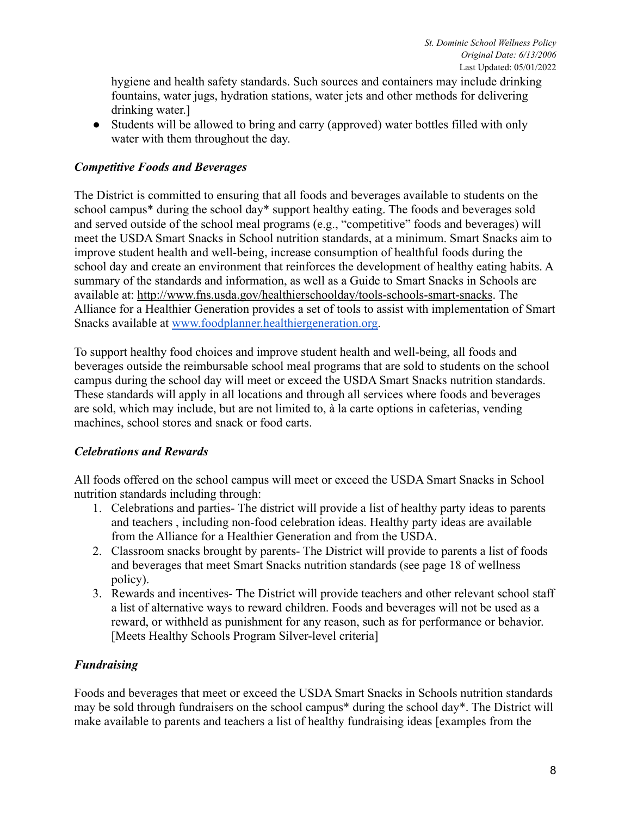hygiene and health safety standards. Such sources and containers may include drinking fountains, water jugs, hydration stations, water jets and other methods for delivering drinking water.]

• Students will be allowed to bring and carry (approved) water bottles filled with only water with them throughout the day.

## *Competitive Foods and Beverages*

The District is committed to ensuring that all foods and beverages available to students on the school campus\* during the school day\* support healthy eating. The foods and beverages sold and served outside of the school meal programs (e.g., "competitive" foods and beverages) will meet the USDA Smart Snacks in School nutrition standards, at a minimum. Smart Snacks aim to improve student health and well-being, increase consumption of healthful foods during the school day and create an environment that reinforces the development of healthy eating habits. A summary of the standards and information, as well as a Guide to Smart Snacks in Schools are available at: http://www.fns.usda.gov/healthierschoolday/tools-schools-smart-snacks. The Alliance for a Healthier Generation provides a set of tools to assist with implementation of Smart Snacks available at [www.foodplanner.healthiergeneration.org.](http://www.foodplanner.healthiergeneration.org)

To support healthy food choices and improve student health and well-being, all foods and beverages outside the reimbursable school meal programs that are sold to students on the school campus during the school day will meet or exceed the USDA Smart Snacks nutrition standards. These standards will apply in all locations and through all services where foods and beverages are sold, which may include, but are not limited to, à la carte options in cafeterias, vending machines, school stores and snack or food carts.

## *Celebrations and Rewards*

All foods offered on the school campus will meet or exceed the USDA Smart Snacks in School nutrition standards including through:

- 1. Celebrations and parties- The district will provide a list of healthy party ideas to parents and teachers , including non-food celebration ideas. Healthy party ideas are available from the Alliance for a Healthier Generation and from the USDA.
- 2. Classroom snacks brought by parents- The District will provide to parents a list of foods and beverages that meet Smart Snacks nutrition standards (see page 18 of wellness policy).
- 3. Rewards and incentives- The District will provide teachers and other relevant school staff a list of alternative ways to reward children. Foods and beverages will not be used as a reward, or withheld as punishment for any reason, such as for performance or behavior. [Meets Healthy Schools Program Silver-level criteria]

## *Fundraising*

Foods and beverages that meet or exceed the USDA Smart Snacks in Schools nutrition standards may be sold through fundraisers on the school campus\* during the school day\*. The District will make available to parents and teachers a list of healthy fundraising ideas [examples from the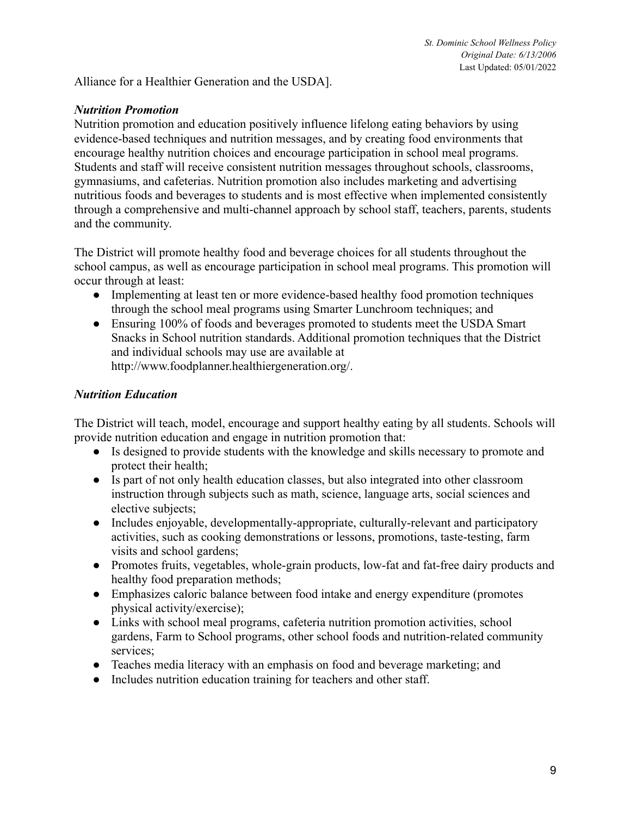Alliance for a Healthier Generation and the USDA].

#### *Nutrition Promotion*

Nutrition promotion and education positively influence lifelong eating behaviors by using evidence-based techniques and nutrition messages, and by creating food environments that encourage healthy nutrition choices and encourage participation in school meal programs. Students and staff will receive consistent nutrition messages throughout schools, classrooms, gymnasiums, and cafeterias. Nutrition promotion also includes marketing and advertising nutritious foods and beverages to students and is most effective when implemented consistently through a comprehensive and multi-channel approach by school staff, teachers, parents, students and the community.

The District will promote healthy food and beverage choices for all students throughout the school campus, as well as encourage participation in school meal programs. This promotion will occur through at least:

- Implementing at least ten or more evidence-based healthy food promotion techniques through the school meal programs using Smarter Lunchroom techniques; and
- Ensuring 100% of foods and beverages promoted to students meet the USDA Smart Snacks in School nutrition standards. Additional promotion techniques that the District and individual schools may use are available at http://www.foodplanner.healthiergeneration.org/.

#### *Nutrition Education*

The District will teach, model, encourage and support healthy eating by all students. Schools will provide nutrition education and engage in nutrition promotion that:

- Is designed to provide students with the knowledge and skills necessary to promote and protect their health;
- Is part of not only health education classes, but also integrated into other classroom instruction through subjects such as math, science, language arts, social sciences and elective subjects;
- Includes enjoyable, developmentally-appropriate, culturally-relevant and participatory activities, such as cooking demonstrations or lessons, promotions, taste-testing, farm visits and school gardens;
- Promotes fruits, vegetables, whole-grain products, low-fat and fat-free dairy products and healthy food preparation methods;
- Emphasizes caloric balance between food intake and energy expenditure (promotes physical activity/exercise);
- Links with school meal programs, cafeteria nutrition promotion activities, school gardens, Farm to School programs, other school foods and nutrition-related community services:
- Teaches media literacy with an emphasis on food and beverage marketing; and
- Includes nutrition education training for teachers and other staff.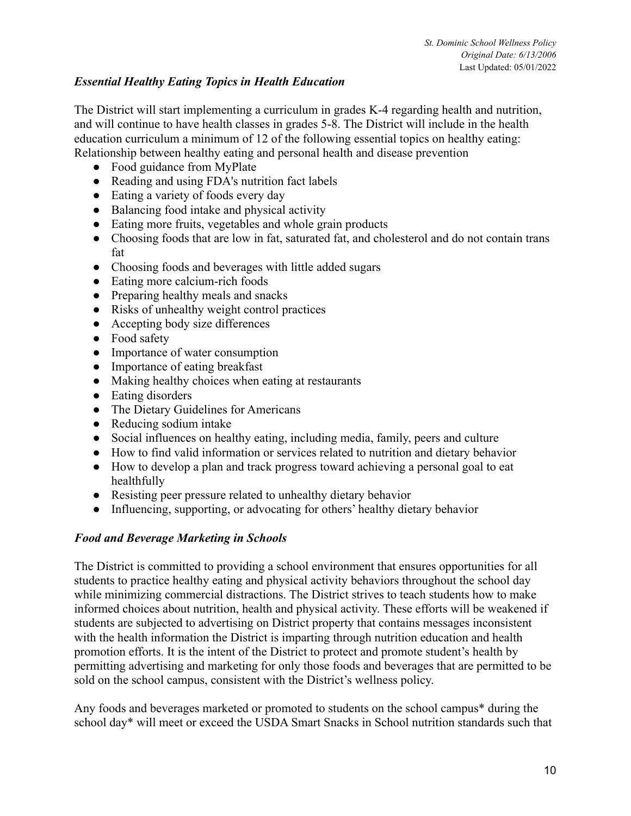### *Essential Healthy Eating Topics in Health Education*

The District will start implementing a curriculum in grades K-4 regarding health and nutrition, and will continue to have health classes in grades 5-8. The District will include in the health education curriculum a minimum of 12 of the following essential topics on healthy eating: Relationship between healthy eating and personal health and disease prevention

- Food guidance from MyPlate
- Reading and using FDA's nutrition fact labels
- Eating a variety of foods every day
- Balancing food intake and physical activity
- Eating more fruits, vegetables and whole grain products
- Choosing foods that are low in fat, saturated fat, and cholesterol and do not contain trans fat
- Choosing foods and beverages with little added sugars
- Eating more calcium-rich foods
- Preparing healthy meals and snacks
- Risks of unhealthy weight control practices
- Accepting body size differences
- Food safety
- Importance of water consumption
- Importance of eating breakfast
- Making healthy choices when eating at restaurants
- Eating disorders
- The Dietary Guidelines for Americans
- Reducing sodium intake
- Social influences on healthy eating, including media, family, peers and culture
- How to find valid information or services related to nutrition and dietary behavior
- How to develop a plan and track progress toward achieving a personal goal to eat healthfully
- Resisting peer pressure related to unhealthy dietary behavior
- Influencing, supporting, or advocating for others' healthy dietary behavior

## *Food and Beverage Marketing in Schools*

The District is committed to providing a school environment that ensures opportunities for all students to practice healthy eating and physical activity behaviors throughout the school day while minimizing commercial distractions. The District strives to teach students how to make informed choices about nutrition, health and physical activity. These efforts will be weakened if students are subjected to advertising on District property that contains messages inconsistent with the health information the District is imparting through nutrition education and health promotion efforts. It is the intent of the District to protect and promote student's health by permitting advertising and marketing for only those foods and beverages that are permitted to be sold on the school campus, consistent with the District's wellness policy.

Any foods and beverages marketed or promoted to students on the school campus\* during the school day\* will meet or exceed the USDA Smart Snacks in School nutrition standards such that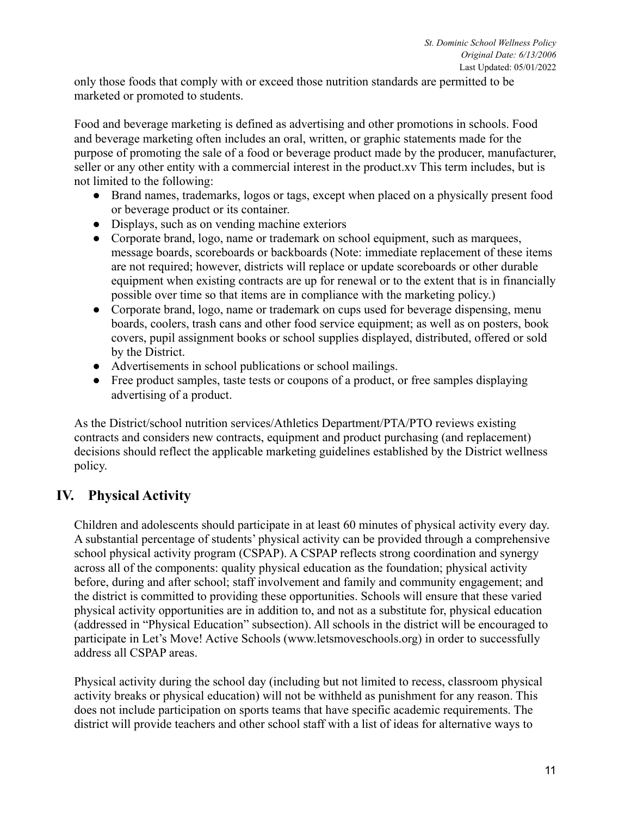only those foods that comply with or exceed those nutrition standards are permitted to be marketed or promoted to students.

Food and beverage marketing is defined as advertising and other promotions in schools. Food and beverage marketing often includes an oral, written, or graphic statements made for the purpose of promoting the sale of a food or beverage product made by the producer, manufacturer, seller or any other entity with a commercial interest in the product.xv This term includes, but is not limited to the following:

- Brand names, trademarks, logos or tags, except when placed on a physically present food or beverage product or its container.
- Displays, such as on vending machine exteriors
- Corporate brand, logo, name or trademark on school equipment, such as marquees, message boards, scoreboards or backboards (Note: immediate replacement of these items are not required; however, districts will replace or update scoreboards or other durable equipment when existing contracts are up for renewal or to the extent that is in financially possible over time so that items are in compliance with the marketing policy.)
- Corporate brand, logo, name or trademark on cups used for beverage dispensing, menu boards, coolers, trash cans and other food service equipment; as well as on posters, book covers, pupil assignment books or school supplies displayed, distributed, offered or sold by the District.
- Advertisements in school publications or school mailings.
- Free product samples, taste tests or coupons of a product, or free samples displaying advertising of a product.

As the District/school nutrition services/Athletics Department/PTA/PTO reviews existing contracts and considers new contracts, equipment and product purchasing (and replacement) decisions should reflect the applicable marketing guidelines established by the District wellness policy.

# **IV. Physical Activity**

Children and adolescents should participate in at least 60 minutes of physical activity every day. A substantial percentage of students' physical activity can be provided through a comprehensive school physical activity program (CSPAP). A CSPAP reflects strong coordination and synergy across all of the components: quality physical education as the foundation; physical activity before, during and after school; staff involvement and family and community engagement; and the district is committed to providing these opportunities. Schools will ensure that these varied physical activity opportunities are in addition to, and not as a substitute for, physical education (addressed in "Physical Education" subsection). All schools in the district will be encouraged to participate in Let's Move! Active Schools (www.letsmoveschools.org) in order to successfully address all CSPAP areas.

Physical activity during the school day (including but not limited to recess, classroom physical activity breaks or physical education) will not be withheld as punishment for any reason. This does not include participation on sports teams that have specific academic requirements. The district will provide teachers and other school staff with a list of ideas for alternative ways to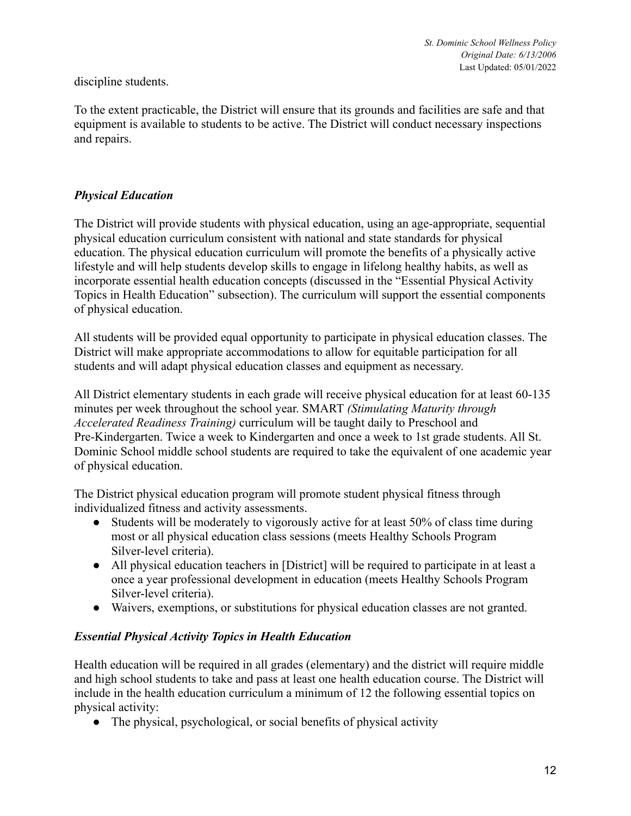discipline students.

To the extent practicable, the District will ensure that its grounds and facilities are safe and that equipment is available to students to be active. The District will conduct necessary inspections and repairs.

### *Physical Education*

The District will provide students with physical education, using an age-appropriate, sequential physical education curriculum consistent with national and state standards for physical education. The physical education curriculum will promote the benefits of a physically active lifestyle and will help students develop skills to engage in lifelong healthy habits, as well as incorporate essential health education concepts (discussed in the "Essential Physical Activity Topics in Health Education" subsection). The curriculum will support the essential components of physical education.

All students will be provided equal opportunity to participate in physical education classes. The District will make appropriate accommodations to allow for equitable participation for all students and will adapt physical education classes and equipment as necessary.

All District elementary students in each grade will receive physical education for at least 60-135 minutes per week throughout the school year. SMART *(Stimulating Maturity through Accelerated Readiness Training)* curriculum will be taught daily to Preschool and Pre-Kindergarten. Twice a week to Kindergarten and once a week to 1st grade students. All St. Dominic School middle school students are required to take the equivalent of one academic year of physical education.

The District physical education program will promote student physical fitness through individualized fitness and activity assessments.

- Students will be moderately to vigorously active for at least 50% of class time during most or all physical education class sessions (meets Healthy Schools Program Silver-level criteria).
- All physical education teachers in [District] will be required to participate in at least a once a year professional development in education (meets Healthy Schools Program Silver-level criteria).
- Waivers, exemptions, or substitutions for physical education classes are not granted.

#### *Essential Physical Activity Topics in Health Education*

Health education will be required in all grades (elementary) and the district will require middle and high school students to take and pass at least one health education course. The District will include in the health education curriculum a minimum of 12 the following essential topics on physical activity:

• The physical, psychological, or social benefits of physical activity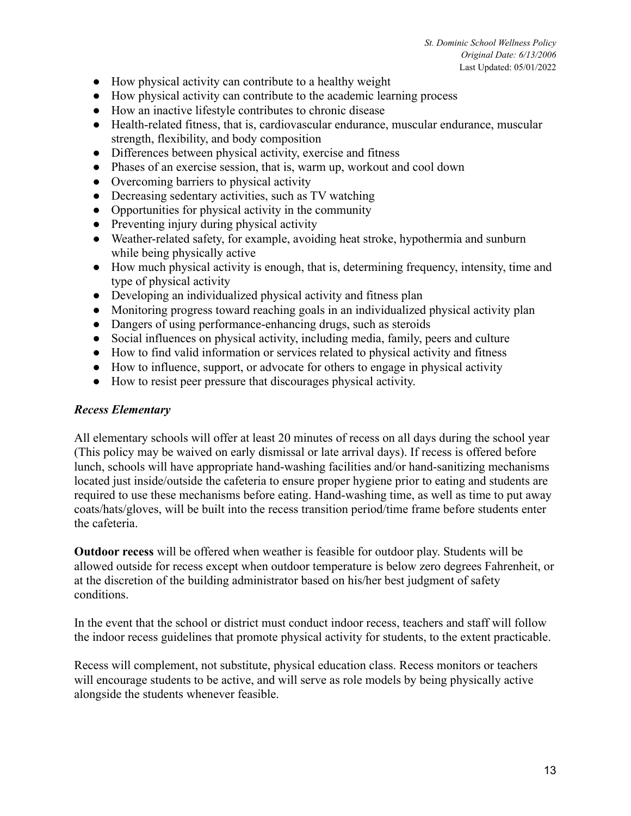- How physical activity can contribute to a healthy weight
- How physical activity can contribute to the academic learning process
- How an inactive lifestyle contributes to chronic disease
- Health-related fitness, that is, cardiovascular endurance, muscular endurance, muscular strength, flexibility, and body composition
- Differences between physical activity, exercise and fitness
- Phases of an exercise session, that is, warm up, workout and cool down
- Overcoming barriers to physical activity
- Decreasing sedentary activities, such as TV watching
- Opportunities for physical activity in the community
- Preventing injury during physical activity
- Weather-related safety, for example, avoiding heat stroke, hypothermia and sunburn while being physically active
- How much physical activity is enough, that is, determining frequency, intensity, time and type of physical activity
- Developing an individualized physical activity and fitness plan
- Monitoring progress toward reaching goals in an individualized physical activity plan
- Dangers of using performance-enhancing drugs, such as steroids
- Social influences on physical activity, including media, family, peers and culture
- How to find valid information or services related to physical activity and fitness
- How to influence, support, or advocate for others to engage in physical activity
- How to resist peer pressure that discourages physical activity.

#### *Recess Elementary*

All elementary schools will offer at least 20 minutes of recess on all days during the school year (This policy may be waived on early dismissal or late arrival days). If recess is offered before lunch, schools will have appropriate hand-washing facilities and/or hand-sanitizing mechanisms located just inside/outside the cafeteria to ensure proper hygiene prior to eating and students are required to use these mechanisms before eating. Hand-washing time, as well as time to put away coats/hats/gloves, will be built into the recess transition period/time frame before students enter the cafeteria.

**Outdoor recess** will be offered when weather is feasible for outdoor play. Students will be allowed outside for recess except when outdoor temperature is below zero degrees Fahrenheit, or at the discretion of the building administrator based on his/her best judgment of safety conditions.

In the event that the school or district must conduct indoor recess, teachers and staff will follow the indoor recess guidelines that promote physical activity for students, to the extent practicable.

Recess will complement, not substitute, physical education class. Recess monitors or teachers will encourage students to be active, and will serve as role models by being physically active alongside the students whenever feasible.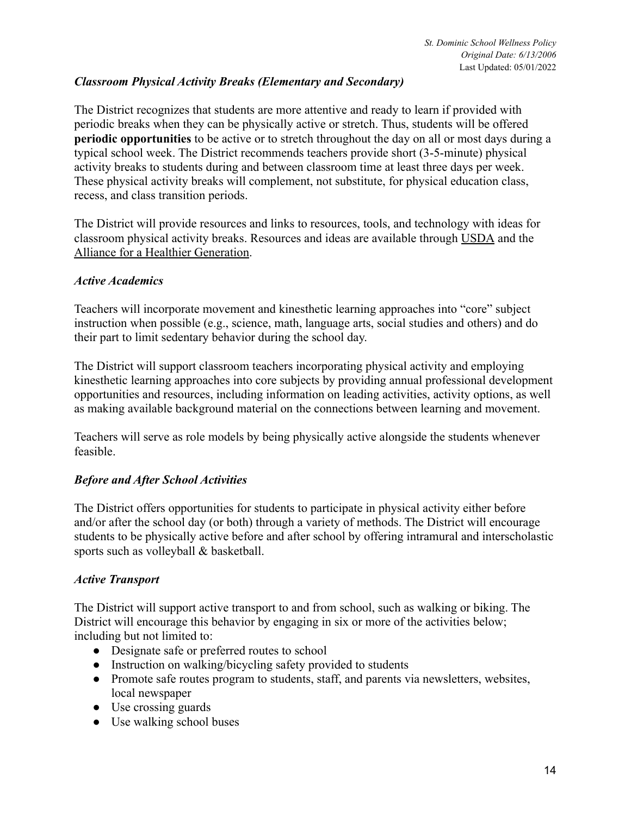## *Classroom Physical Activity Breaks (Elementary and Secondary)*

The District recognizes that students are more attentive and ready to learn if provided with periodic breaks when they can be physically active or stretch. Thus, students will be offered **periodic opportunities** to be active or to stretch throughout the day on all or most days during a typical school week. The District recommends teachers provide short (3-5-minute) physical activity breaks to students during and between classroom time at least three days per week. These physical activity breaks will complement, not substitute, for physical education class, recess, and class transition periods.

The District will provide resources and links to resources, tools, and technology with ideas for classroom physical activity breaks. Resources and ideas are available through USDA and the Alliance for a Healthier Generation.

#### *Active Academics*

Teachers will incorporate movement and kinesthetic learning approaches into "core" subject instruction when possible (e.g., science, math, language arts, social studies and others) and do their part to limit sedentary behavior during the school day.

The District will support classroom teachers incorporating physical activity and employing kinesthetic learning approaches into core subjects by providing annual professional development opportunities and resources, including information on leading activities, activity options, as well as making available background material on the connections between learning and movement.

Teachers will serve as role models by being physically active alongside the students whenever feasible.

#### *Before and After School Activities*

The District offers opportunities for students to participate in physical activity either before and/or after the school day (or both) through a variety of methods. The District will encourage students to be physically active before and after school by offering intramural and interscholastic sports such as volleyball & basketball.

#### *Active Transport*

The District will support active transport to and from school, such as walking or biking. The District will encourage this behavior by engaging in six or more of the activities below; including but not limited to:

- Designate safe or preferred routes to school
- Instruction on walking/bicycling safety provided to students
- Promote safe routes program to students, staff, and parents via newsletters, websites, local newspaper
- Use crossing guards
- Use walking school buses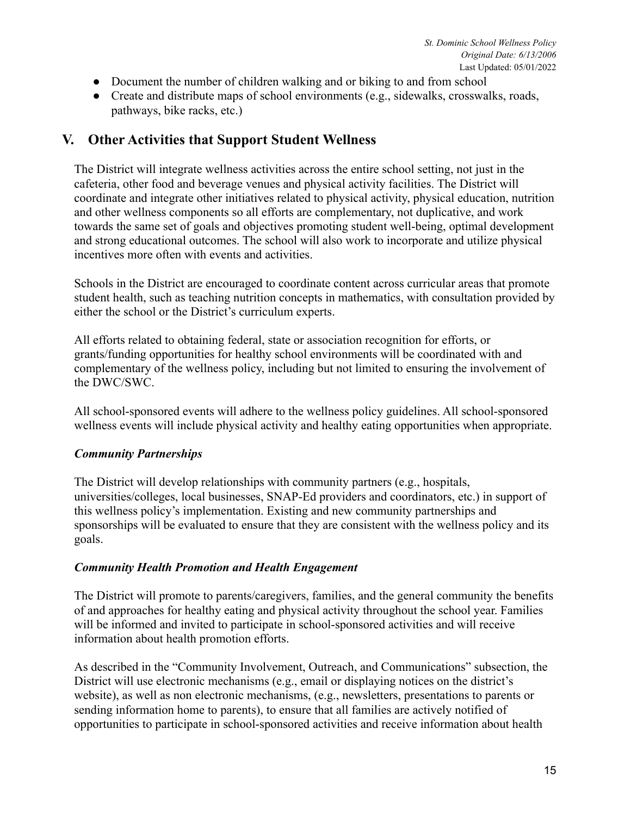- Document the number of children walking and or biking to and from school
- Create and distribute maps of school environments (e.g., sidewalks, crosswalks, roads, pathways, bike racks, etc.)

## **V. Other Activities that Support Student Wellness**

The District will integrate wellness activities across the entire school setting, not just in the cafeteria, other food and beverage venues and physical activity facilities. The District will coordinate and integrate other initiatives related to physical activity, physical education, nutrition and other wellness components so all efforts are complementary, not duplicative, and work towards the same set of goals and objectives promoting student well-being, optimal development and strong educational outcomes. The school will also work to incorporate and utilize physical incentives more often with events and activities.

Schools in the District are encouraged to coordinate content across curricular areas that promote student health, such as teaching nutrition concepts in mathematics, with consultation provided by either the school or the District's curriculum experts.

All efforts related to obtaining federal, state or association recognition for efforts, or grants/funding opportunities for healthy school environments will be coordinated with and complementary of the wellness policy, including but not limited to ensuring the involvement of the DWC/SWC.

All school-sponsored events will adhere to the wellness policy guidelines. All school-sponsored wellness events will include physical activity and healthy eating opportunities when appropriate.

## *Community Partnerships*

The District will develop relationships with community partners (e.g., hospitals, universities/colleges, local businesses, SNAP-Ed providers and coordinators, etc.) in support of this wellness policy's implementation. Existing and new community partnerships and sponsorships will be evaluated to ensure that they are consistent with the wellness policy and its goals.

#### *Community Health Promotion and Health Engagement*

The District will promote to parents/caregivers, families, and the general community the benefits of and approaches for healthy eating and physical activity throughout the school year. Families will be informed and invited to participate in school-sponsored activities and will receive information about health promotion efforts.

As described in the "Community Involvement, Outreach, and Communications" subsection, the District will use electronic mechanisms (e.g., email or displaying notices on the district's website), as well as non electronic mechanisms, (e.g., newsletters, presentations to parents or sending information home to parents), to ensure that all families are actively notified of opportunities to participate in school-sponsored activities and receive information about health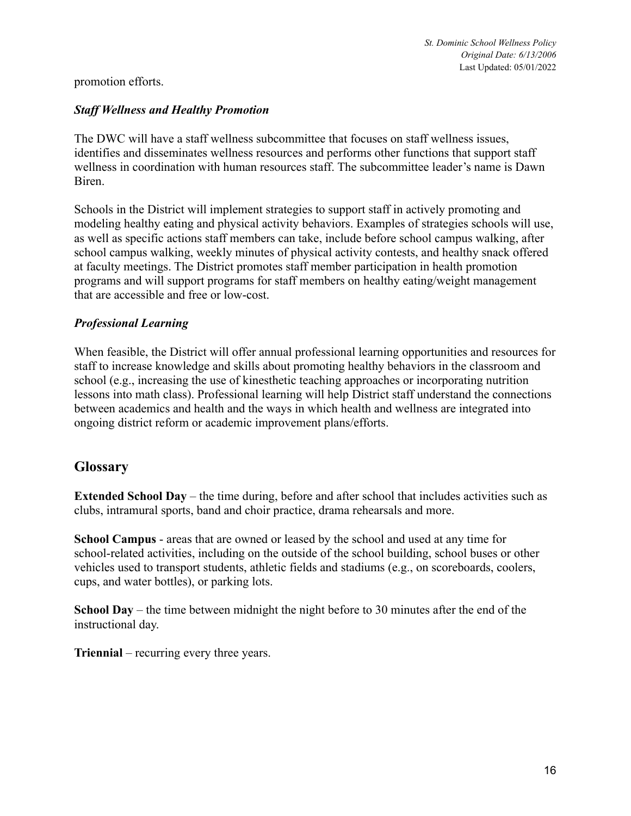#### promotion efforts.

#### *Staff Wellness and Healthy Promotion*

The DWC will have a staff wellness subcommittee that focuses on staff wellness issues, identifies and disseminates wellness resources and performs other functions that support staff wellness in coordination with human resources staff. The subcommittee leader's name is Dawn Biren.

Schools in the District will implement strategies to support staff in actively promoting and modeling healthy eating and physical activity behaviors. Examples of strategies schools will use, as well as specific actions staff members can take, include before school campus walking, after school campus walking, weekly minutes of physical activity contests, and healthy snack offered at faculty meetings. The District promotes staff member participation in health promotion programs and will support programs for staff members on healthy eating/weight management that are accessible and free or low-cost.

#### *Professional Learning*

When feasible, the District will offer annual professional learning opportunities and resources for staff to increase knowledge and skills about promoting healthy behaviors in the classroom and school (e.g., increasing the use of kinesthetic teaching approaches or incorporating nutrition lessons into math class). Professional learning will help District staff understand the connections between academics and health and the ways in which health and wellness are integrated into ongoing district reform or academic improvement plans/efforts.

## **Glossary**

**Extended School Day** – the time during, before and after school that includes activities such as clubs, intramural sports, band and choir practice, drama rehearsals and more.

**School Campus** - areas that are owned or leased by the school and used at any time for school-related activities, including on the outside of the school building, school buses or other vehicles used to transport students, athletic fields and stadiums (e.g., on scoreboards, coolers, cups, and water bottles), or parking lots.

**School Day** – the time between midnight the night before to 30 minutes after the end of the instructional day.

**Triennial** – recurring every three years.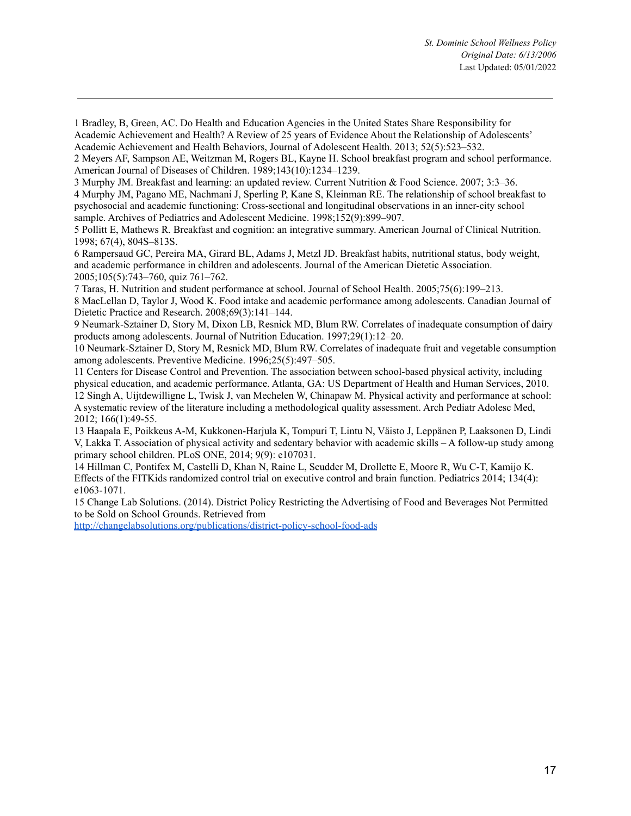1 Bradley, B, Green, AC. Do Health and Education Agencies in the United States Share Responsibility for Academic Achievement and Health? A Review of 25 years of Evidence About the Relationship of Adolescents' Academic Achievement and Health Behaviors, Journal of Adolescent Health. 2013; 52(5):523–532.

2 Meyers AF, Sampson AE, Weitzman M, Rogers BL, Kayne H. School breakfast program and school performance. American Journal of Diseases of Children. 1989;143(10):1234–1239.

3 Murphy JM. Breakfast and learning: an updated review. Current Nutrition & Food Science. 2007; 3:3–36.

4 Murphy JM, Pagano ME, Nachmani J, Sperling P, Kane S, Kleinman RE. The relationship of school breakfast to psychosocial and academic functioning: Cross-sectional and longitudinal observations in an inner-city school sample. Archives of Pediatrics and Adolescent Medicine. 1998;152(9):899–907.

5 Pollitt E, Mathews R. Breakfast and cognition: an integrative summary. American Journal of Clinical Nutrition. 1998; 67(4), 804S–813S.

6 Rampersaud GC, Pereira MA, Girard BL, Adams J, Metzl JD. Breakfast habits, nutritional status, body weight, and academic performance in children and adolescents. Journal of the American Dietetic Association. 2005;105(5):743–760, quiz 761–762.

7 Taras, H. Nutrition and student performance at school. Journal of School Health. 2005;75(6):199–213. 8 MacLellan D, Taylor J, Wood K. Food intake and academic performance among adolescents. Canadian Journal of

Dietetic Practice and Research. 2008;69(3):141–144.

9 Neumark-Sztainer D, Story M, Dixon LB, Resnick MD, Blum RW. Correlates of inadequate consumption of dairy products among adolescents. Journal of Nutrition Education. 1997;29(1):12–20.

10 Neumark-Sztainer D, Story M, Resnick MD, Blum RW. Correlates of inadequate fruit and vegetable consumption among adolescents. Preventive Medicine. 1996;25(5):497–505.

11 Centers for Disease Control and Prevention. The association between school-based physical activity, including physical education, and academic performance. Atlanta, GA: US Department of Health and Human Services, 2010. 12 Singh A, Uijtdewilligne L, Twisk J, van Mechelen W, Chinapaw M. Physical activity and performance at school: A systematic review of the literature including a methodological quality assessment. Arch Pediatr Adolesc Med, 2012; 166(1):49-55.

13 Haapala E, Poikkeus A-M, Kukkonen-Harjula K, Tompuri T, Lintu N, Väisto J, Leppänen P, Laaksonen D, Lindi V, Lakka T. Association of physical activity and sedentary behavior with academic skills – A follow-up study among primary school children. PLoS ONE, 2014; 9(9): e107031.

14 Hillman C, Pontifex M, Castelli D, Khan N, Raine L, Scudder M, Drollette E, Moore R, Wu C-T, Kamijo K. Effects of the FITKids randomized control trial on executive control and brain function. Pediatrics 2014; 134(4): e1063-1071.

15 Change Lab Solutions. (2014). District Policy Restricting the Advertising of Food and Beverages Not Permitted to be Sold on School Grounds. Retrieved from

<http://changelabsolutions.org/publications/district-policy-school-food-ads>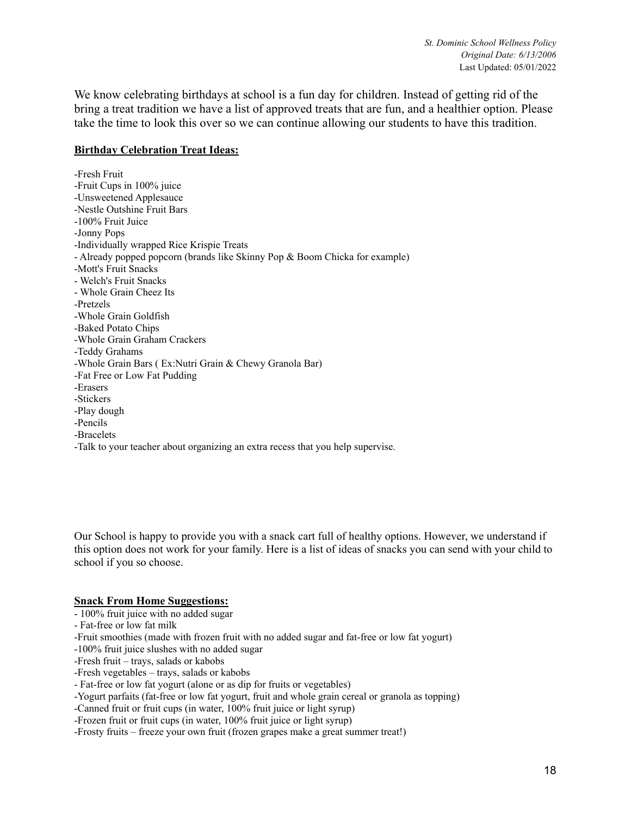We know celebrating birthdays at school is a fun day for children. Instead of getting rid of the bring a treat tradition we have a list of approved treats that are fun, and a healthier option. Please take the time to look this over so we can continue allowing our students to have this tradition.

#### **Birthday Celebration Treat Ideas:**

-Fresh Fruit -Fruit Cups in 100% juice -Unsweetened Applesauce -Nestle Outshine Fruit Bars -100% Fruit Juice -Jonny Pops -Individually wrapped Rice Krispie Treats - Already popped popcorn (brands like Skinny Pop & Boom Chicka for example) -Mott's Fruit Snacks - Welch's Fruit Snacks - Whole Grain Cheez Its -Pretzels -Whole Grain Goldfish -Baked Potato Chips -Whole Grain Graham Crackers -Teddy Grahams -Whole Grain Bars ( Ex:Nutri Grain & Chewy Granola Bar) -Fat Free or Low Fat Pudding -Erasers -Stickers -Play dough -Pencils -Bracelets -Talk to your teacher about organizing an extra recess that you help supervise.

Our School is happy to provide you with a snack cart full of healthy options. However, we understand if this option does not work for your family. Here is a list of ideas of snacks you can send with your child to school if you so choose.

#### **Snack From Home Suggestions:**

- 100% fruit juice with no added sugar
- Fat-free or low fat milk
- -Fruit smoothies (made with frozen fruit with no added sugar and fat-free or low fat yogurt)
- -100% fruit juice slushes with no added sugar
- -Fresh fruit trays, salads or kabobs
- -Fresh vegetables trays, salads or kabobs
- Fat-free or low fat yogurt (alone or as dip for fruits or vegetables)
- -Yogurt parfaits (fat-free or low fat yogurt, fruit and whole grain cereal or granola as topping)
- -Canned fruit or fruit cups (in water, 100% fruit juice or light syrup)
- -Frozen fruit or fruit cups (in water, 100% fruit juice or light syrup)
- -Frosty fruits freeze your own fruit (frozen grapes make a great summer treat!)